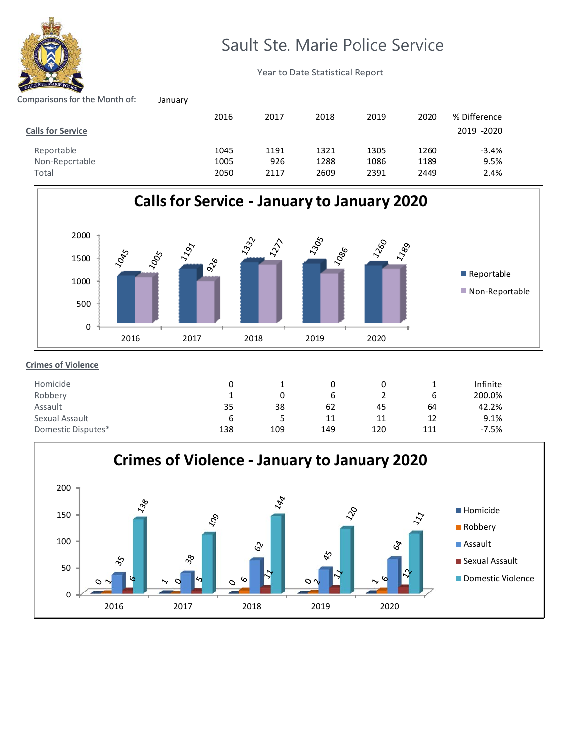

# Sault Ste. Marie Police Service

2019

% Difference

2020

Year to Date Statistical Report

2017 2018

# Comparisons for the Month of: January

| <b>Calls for Service</b> |      |      |      |      |      | 2019 -2020 |
|--------------------------|------|------|------|------|------|------------|
| Reportable               | 1045 | 1191 | 1321 | 1305 | 1260 | -3.4%      |
| Non-Reportable           | 1005 | 926  | 1288 | 1086 | 1189 | 9.5%       |
| Total                    | 2050 | 2117 | 2609 | 2391 | 2449 | 2.4%       |

2016



### 0 6 62 11 1 0 38 5 Infinite 200.0% 42.2% 9.1% 0 1 35 6 Homicide Robbery Assault Sexual Assault 0 2 11 45 1 6 12 64 Domestic Disputes\* 138 109 149 120 111 ‐7.5%